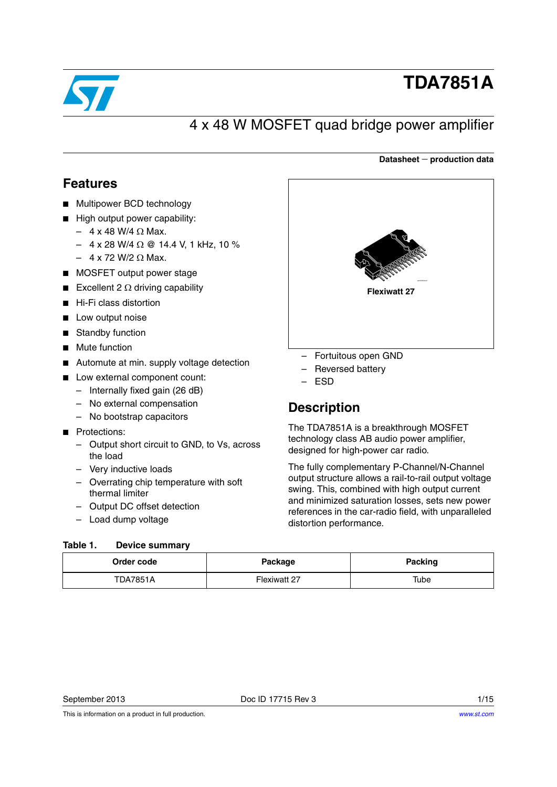

# **TDA7851A**

# 4 x 48 W MOSFET quad bridge power amplifier

### **Datasheet production data**

## <span id="page-0-1"></span>**Features**

- Multipower BCD technology
- High output power capability:
	- $-4$  x 48 W/4  $\Omega$  Max.
	- $-$  4 x 28 W/4  $\Omega$  @ 14.4 V, 1 kHz, 10 %
	- $-4$  x 72 W/2  $\Omega$  Max.
- MOSFET output power stage
- Excellent 2  $\Omega$  driving capability
- Hi-Fi class distortion
- Low output noise
- Standby function
- Mute function
- Automute at min. supply voltage detection
- Low external component count:
	- Internally fixed gain (26 dB)
	- No external compensation
	- No bootstrap capacitors
- Protections:
	- Output short circuit to GND, to Vs, across the load
	- Very inductive loads
	- Overrating chip temperature with soft thermal limiter
	- Output DC offset detection
	- Load dump voltage

#### <span id="page-0-0"></span>Table 1. **Device summary**

| ସ<br>ourgrapping    |
|---------------------|
| <b>Flexiwatt 27</b> |
|                     |

- Fortuitous open GND
- Reversed battery
- ESD

## **Description**

The TDA7851A is a breakthrough MOSFET technology class AB audio power amplifier, designed for high-power car radio.

The fully complementary P-Channel/N-Channel output structure allows a rail-to-rail output voltage swing. This, combined with high output current and minimized saturation losses, sets new power references in the car-radio field, with unparalleled distortion performance.

| Order code      | Package      | <b>Packing</b> |
|-----------------|--------------|----------------|
| <b>TDA7851A</b> | Flexiwatt 27 | Tube           |

This is information on a product in full production.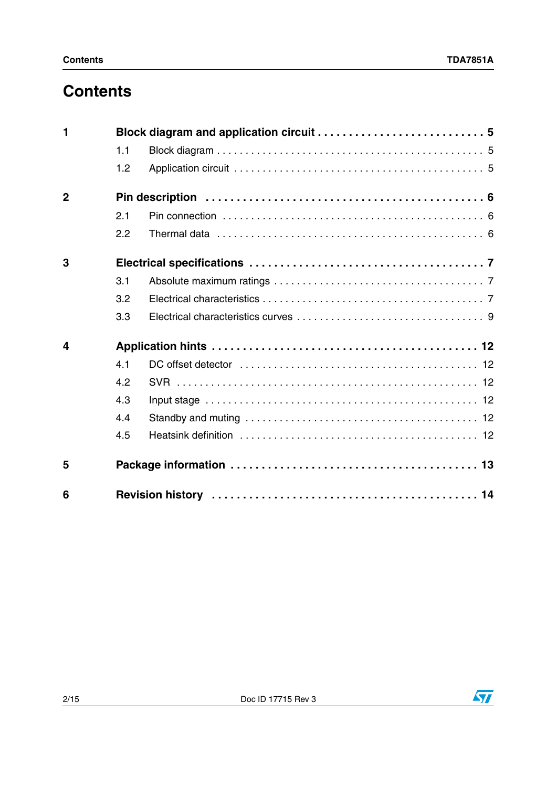# **Contents**

| 1                       |     |  |  |  |  |
|-------------------------|-----|--|--|--|--|
|                         | 1.1 |  |  |  |  |
|                         | 1.2 |  |  |  |  |
| $\overline{2}$          |     |  |  |  |  |
|                         | 2.1 |  |  |  |  |
|                         | 2.2 |  |  |  |  |
| 3                       |     |  |  |  |  |
|                         | 3.1 |  |  |  |  |
|                         | 3.2 |  |  |  |  |
|                         | 3.3 |  |  |  |  |
| $\overline{\mathbf{4}}$ |     |  |  |  |  |
|                         | 4.1 |  |  |  |  |
|                         | 4.2 |  |  |  |  |
|                         | 4.3 |  |  |  |  |
|                         | 4.4 |  |  |  |  |
|                         | 4.5 |  |  |  |  |
| 5                       |     |  |  |  |  |
| 6                       |     |  |  |  |  |

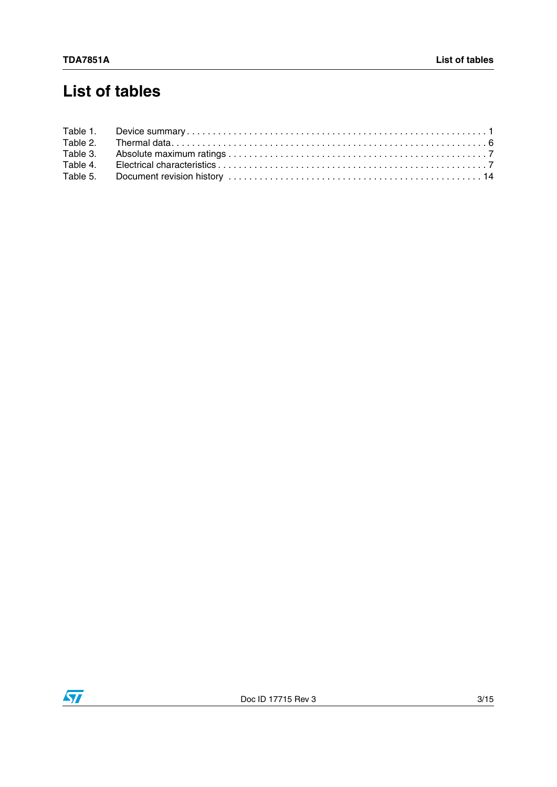# **List of tables**

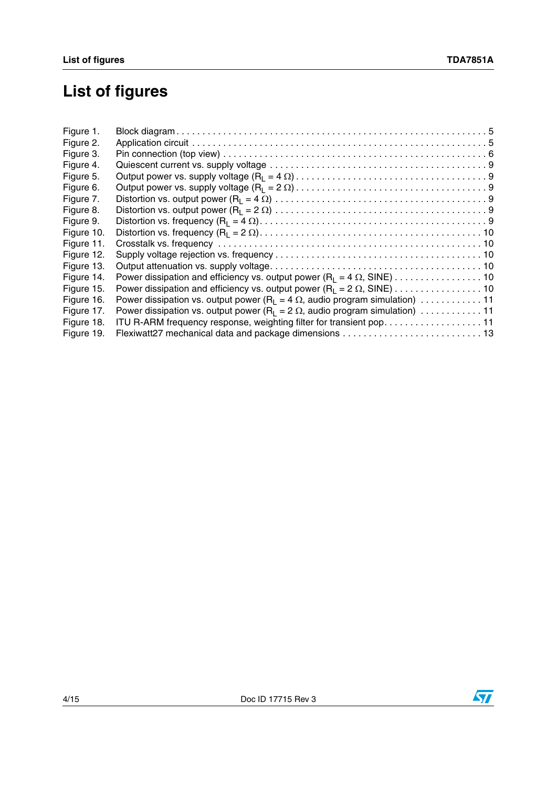# **List of figures**

| Power dissipation and efficiency vs. output power $(R_1 = 4 \Omega, SIME) \dots \dots \dots \dots \dots \dots \dots$ |
|----------------------------------------------------------------------------------------------------------------------|
| Power dissipation and efficiency vs. output power (R <sub>L</sub> = 2 $\Omega$ , SINE) 10                            |
| Power dissipation vs. output power (R <sub>1</sub> = 4 $\Omega$ , audio program simulation) 11                       |
| Power dissipation vs. output power (R <sub>1</sub> = 2 $\Omega$ , audio program simulation) 11                       |
| ITU R-ARM frequency response, weighting filter for transient pop. 11                                                 |
|                                                                                                                      |
|                                                                                                                      |

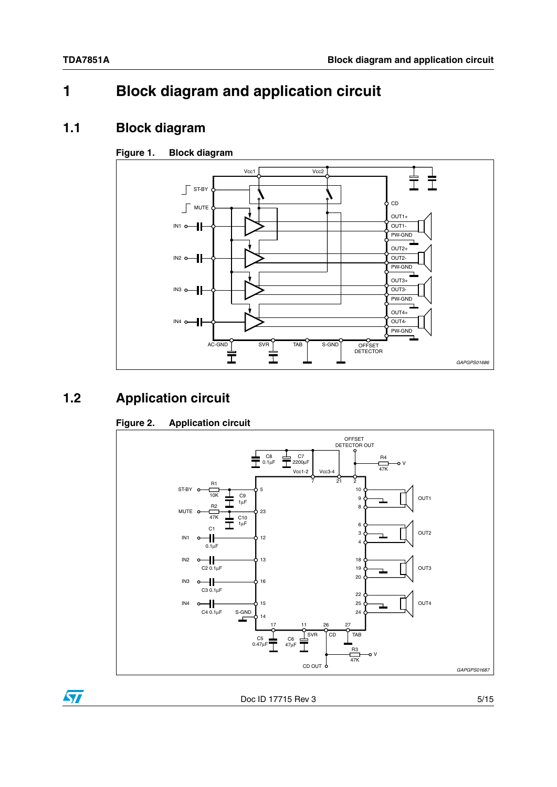# <span id="page-4-0"></span>**1 Block diagram and application circuit**

### <span id="page-4-1"></span>**1.1 Block diagram**

### <span id="page-4-3"></span>**Figure 1. Block diagram**



# <span id="page-4-2"></span>**1.2 Application circuit**

### <span id="page-4-4"></span>**Figure 2. Application circuit**



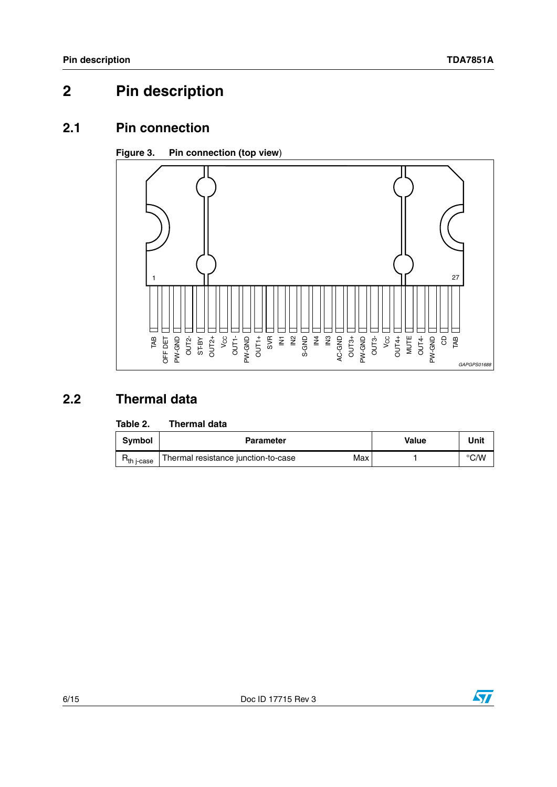# <span id="page-5-0"></span>**2 Pin description**

### <span id="page-5-1"></span>**2.1 Pin connection**

### <span id="page-5-4"></span>**Figure 3. Pin connection (top view**)



# <span id="page-5-2"></span>**2.2 Thermal data**

#### <span id="page-5-3"></span>Table 2. **Thermal data**

| <b>Symbol</b>   | <b>Parameter</b>                           | Value | Unit          |
|-----------------|--------------------------------------------|-------|---------------|
| $n_{th}$ j-case | Max<br>Thermal resistance junction-to-case |       | $\degree$ C/W |

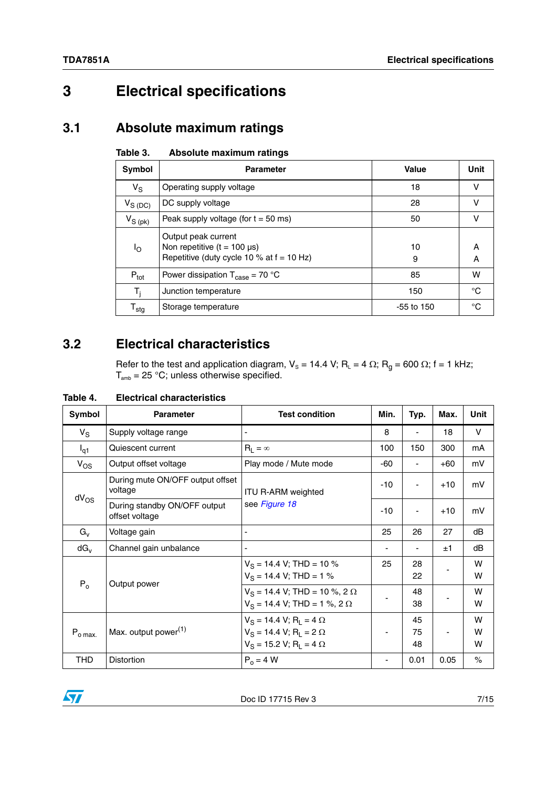# <span id="page-6-0"></span>**3 Electrical specifications**

### <span id="page-6-1"></span>**3.1 Absolute maximum ratings**

<span id="page-6-3"></span>

| Table 3. |  | Absolute maximum ratings |  |
|----------|--|--------------------------|--|
|----------|--|--------------------------|--|

| Symbol              | <b>Parameter</b>                                                                                       | Value        | Unit   |
|---------------------|--------------------------------------------------------------------------------------------------------|--------------|--------|
| $V_S$               | Operating supply voltage                                                                               | 18           | v      |
| $V_{S(DC)}$         | DC supply voltage                                                                                      | 28           | v      |
| $V_{S\ (pk)}$       | Peak supply voltage (for $t = 50$ ms)                                                                  | 50           | v      |
| ١o                  | Output peak current<br>Non repetitive $(t = 100 \mu s)$<br>Repetitive (duty cycle 10 % at $f = 10$ Hz) | 10<br>9      | A<br>A |
| $P_{\text{tot}}$    | Power dissipation $T_{\text{case}} = 70 \text{ °C}$                                                    | 85           | w      |
| T,                  | Junction temperature                                                                                   | 150          | °C     |
| ${\sf T}_{\sf stg}$ | Storage temperature                                                                                    | $-55$ to 150 | °C     |

# <span id="page-6-2"></span>**3.2 Electrical characteristics**

Refer to the test and application diagram,  $V_s = 14.4$  V; R<sub>L</sub> = 4  $\Omega$ ; R<sub>g</sub> = 600  $\Omega$ ; f = 1 kHz;  $T_{\text{amb}}$  = 25 °C; unless otherwise specified.

| Symbol                      | <b>Parameter</b>                            | <b>Test condition</b>                                                                              | Min.  | Typ.           | Max.  | <b>Unit</b> |
|-----------------------------|---------------------------------------------|----------------------------------------------------------------------------------------------------|-------|----------------|-------|-------------|
| $V_S$                       | Supply voltage range                        | $\overline{\phantom{a}}$                                                                           | 8     | ۰              | 18    | V           |
| $I_{q1}$                    | Quiescent current                           | $R_1 = \infty$                                                                                     | 100   | 150            | 300   | mA          |
| $V_{OS}$                    | Output offset voltage                       | Play mode / Mute mode                                                                              | $-60$ |                | $+60$ | mV          |
|                             | During mute ON/OFF output offset<br>voltage | <b>ITU R-ARM weighted</b>                                                                          | -10   |                | $+10$ | mV          |
| $dV_{OS}$<br>offset voltage | During standby ON/OFF output                | see Figure 18                                                                                      | $-10$ | ۰              | $+10$ | mV          |
| $G_{V}$                     | Voltage gain                                | $\blacksquare$                                                                                     | 25    | 26             | 27    | dB          |
| $dG_v$                      | Channel gain unbalance                      |                                                                                                    |       |                | ±1    | dB          |
| $P_0$<br>Output power       |                                             | $V_S = 14.4$ V; THD = 10 %<br>$V_S = 14.4$ V; THD = 1 %                                            | 25    | 28<br>22       |       | W<br>W      |
|                             |                                             | $V_S = 14.4$ V; THD = 10 %, 2 $\Omega$<br>$V_S = 14.4$ V; THD = 1 %, 2 $\Omega$                    |       | 48<br>38       |       | W<br>W      |
| $P_{o \, max.}$             | Max. output power <sup>(1)</sup>            | $V_S = 14.4 V; R_L = 4 \Omega$<br>$V_S = 14.4 V; R_1 = 2 \Omega$<br>$V_S = 15.2 V; R_1 = 4 \Omega$ |       | 45<br>75<br>48 |       | W<br>W<br>W |
| <b>THD</b>                  | <b>Distortion</b>                           | $P_0 = 4 W$                                                                                        |       | 0.01           | 0.05  | $\%$        |

### <span id="page-6-4"></span>**Table 4. Electrical characteristics**

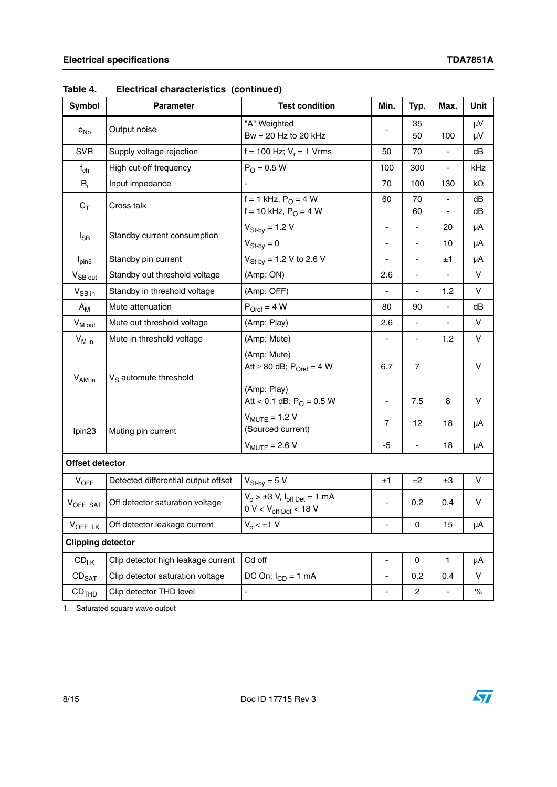| Symbol              | <b>Parameter</b>                    | <b>Test condition</b>                                                    | Min.                         | Typ.                     | Max.                                                 | Unit     |
|---------------------|-------------------------------------|--------------------------------------------------------------------------|------------------------------|--------------------------|------------------------------------------------------|----------|
| $e_{No}$            | Output noise                        | "A" Weighted                                                             |                              | 35                       |                                                      | μV       |
|                     |                                     | Bw = $20$ Hz to $20$ kHz                                                 |                              | 50                       | 100                                                  | μV       |
| <b>SVR</b>          | Supply voltage rejection            | f = 100 Hz; $V_r$ = 1 Vrms                                               | 50                           | 70                       |                                                      | dB       |
| $f_{ch}$            | High cut-off frequency              | $P_{O} = 0.5 W$                                                          | 100                          | 300                      | $\overline{\phantom{a}}$                             | kHz      |
| $R_i$               | Input impedance                     |                                                                          | 70                           | 100                      | 130                                                  | kΩ       |
| $C_T$               | Cross talk                          | $f = 1$ kHz, $P_{O} = 4$ W<br>f = 10 kHz, $P_0 = 4 W$                    | 60                           | 70<br>60                 | $\overline{\phantom{a}}$<br>$\overline{\phantom{a}}$ | dB<br>dB |
| $I_{SB}$            | Standby current consumption         | $V_{St-by} = 1.2 V$                                                      | $\overline{\phantom{a}}$     | $\overline{\phantom{a}}$ | 20                                                   | μA       |
|                     |                                     | $V_{St-bv} = 0$                                                          | $\qquad \qquad \blacksquare$ | ÷,                       | 10                                                   | μA       |
| $I_{pin5}$          | Standby pin current                 | $V_{\text{St-by}} = 1.2 V$ to 2.6 V                                      | $\blacksquare$               | $\blacksquare$           | ±1                                                   | μA       |
| V <sub>SB out</sub> | Standby out threshold voltage       | (Amp: ON)                                                                | 2.6                          |                          |                                                      | V        |
| $V_{SB}$ in         | Standby in threshold voltage        | (Amp: OFF)                                                               |                              | $\blacksquare$           | 1.2                                                  | v        |
| $A_{M}$             | Mute attenuation                    | $P_{Oref} = 4 W$                                                         | 80                           | 90                       | $\overline{\phantom{a}}$                             | dB       |
| V <sub>M out</sub>  | Mute out threshold voltage          | (Amp: Play)                                                              | 2.6                          | $\overline{\phantom{a}}$ | $\overline{\phantom{a}}$                             | V        |
| $V_{M \text{ in}}$  | Mute in threshold voltage           | (Amp: Mute)                                                              |                              | $\overline{\phantom{0}}$ | 1.2                                                  | V        |
| V <sub>AM in</sub>  | $V_S$ automute threshold            | (Amp: Mute)<br>Att $\geq 80$ dB; P <sub>Oref</sub> = 4 W<br>(Amp: Play)  | 6.7                          | $\overline{7}$           |                                                      | V        |
|                     |                                     | Att < 0.1 dB; $P_{O} = 0.5$ W                                            | $\overline{\phantom{a}}$     | 7.5                      | 8                                                    | V        |
| lpin <sub>23</sub>  | Muting pin current                  | $V_{MUTE}$ = 1.2 V<br>(Sourced current)                                  | 7                            | 12                       | 18                                                   | μA       |
|                     |                                     | $V_{MUTE}$ = 2.6 V                                                       | -5                           | $\overline{\phantom{0}}$ | 18                                                   | μA       |
| Offset detector     |                                     |                                                                          |                              |                          |                                                      |          |
| $V_{OFF}$           | Detected differential output offset | $V_{St-by} = 5 V$                                                        | ±1                           | ±2                       | ±3                                                   | V        |
| $V_{OFF\_SAT}$      | Off detector saturation voltage     | $V_0$ > ±3 V, $I_{off\,Det}$ = 1 mA<br>0 V < $V_{\text{off Det}}$ < 18 V | $\overline{\phantom{a}}$     | 0.2                      | 0.4                                                  | V        |
| $V_{OFF\_LK}$       | Off detector leakage current        | $V_0 < \pm 1$ V                                                          | $\overline{\phantom{a}}$     | 0                        | 15                                                   | μA       |
|                     | <b>Clipping detector</b>            |                                                                          |                              |                          |                                                      |          |
| $CD_{LK}$           | Clip detector high leakage current  | Cd off                                                                   | $\blacksquare$               | $\mathsf{O}\xspace$      | $\mathbf{1}$                                         | μA       |
| $CD_{SAT}$          | Clip detector saturation voltage    | DC On; $I_{CD} = 1$ mA                                                   | $\overline{\phantom{0}}$     | 0.2                      | 0.4                                                  | V        |
| CD <sub>THD</sub>   | Clip detector THD level             |                                                                          | $\overline{\phantom{a}}$     | $\overline{\mathbf{c}}$  |                                                      | $\%$     |

**Table 4. Electrical characteristics (continued)**

1. Saturated square wave output

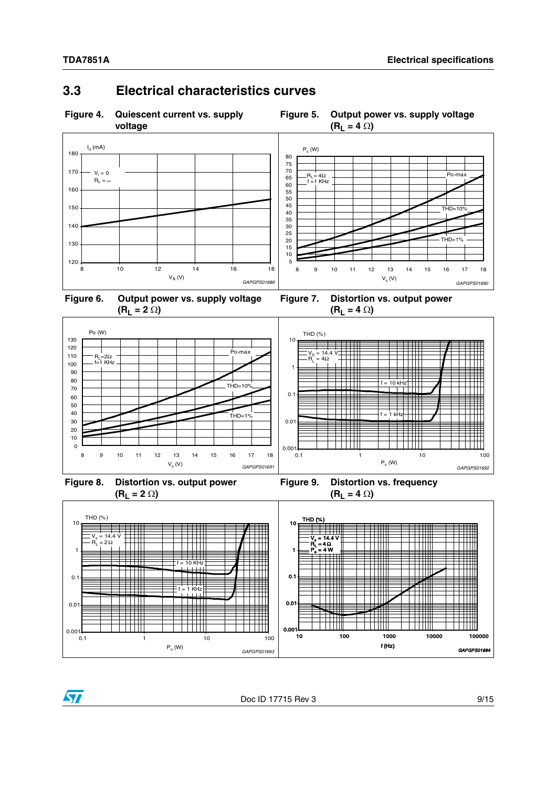### <span id="page-8-0"></span>**3.3 Electrical characteristics curves**

<span id="page-8-1"></span>**Figure 4. Quiescent current vs. supply** 

**voltage**



<span id="page-8-2"></span>



<span id="page-8-3"></span>

<span id="page-8-4"></span>**Figure 7. Distortion vs. output power**  $(R_L = 4 \Omega)$ 



<span id="page-8-5"></span>**Figure 8. Distortion vs. output power**  $(R_L = 2 \Omega)$ 

<span id="page-8-6"></span>



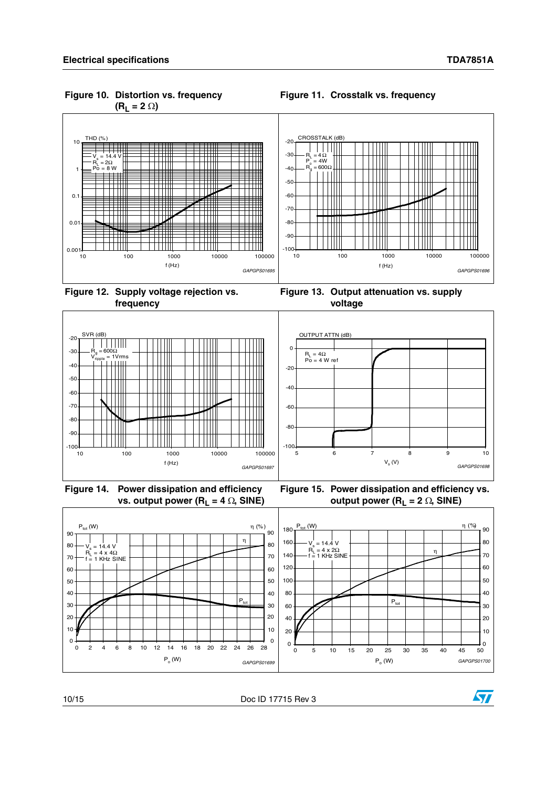<span id="page-9-0"></span>**Figure 10. Distortion vs. frequency**  $(R_L = 2 \Omega)$ 

<span id="page-9-1"></span>



<span id="page-9-2"></span>**Figure 12. Supply voltage rejection vs. frequency**

<span id="page-9-3"></span>



<span id="page-9-4"></span>**Figure 14. Power dissipation and efficiency vs. output power (R<sub>L</sub> = 4**  $\Omega$ **, SINE)** 

<span id="page-9-5"></span>



10/15 Doc ID 17715 Rev 3

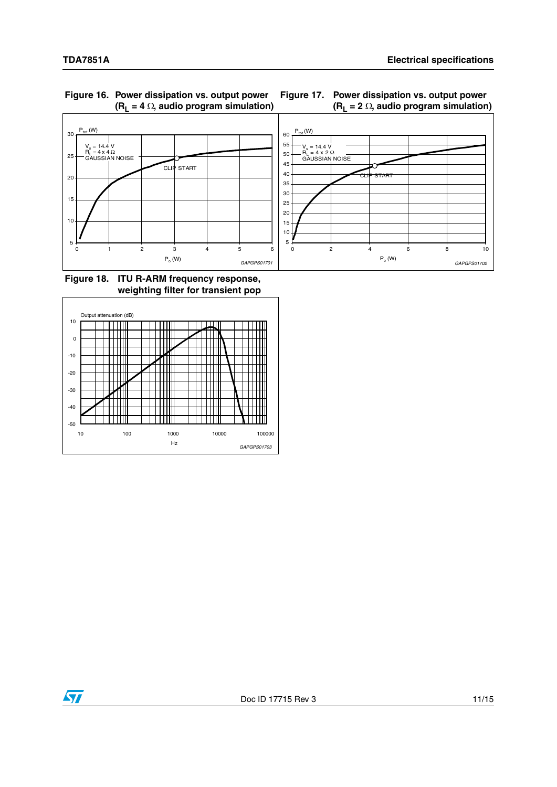

<span id="page-10-0"></span>**Figure 16. Power dissipation vs. output power**   $(R_L = 4 \Omega,$  audio program simulation)

<span id="page-10-1"></span>

<span id="page-10-2"></span>**Figure 18. ITU R-ARM frequency response, weighting filter for transient pop**



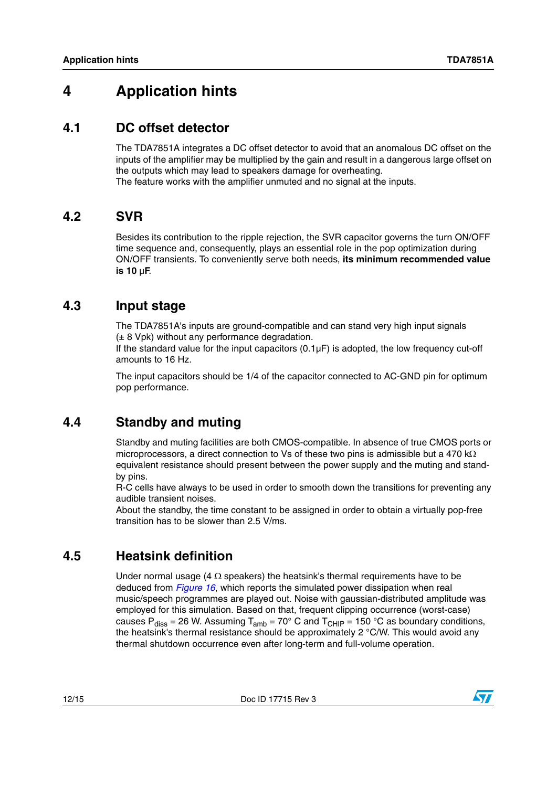# <span id="page-11-0"></span>**4 Application hints**

### <span id="page-11-1"></span>**4.1 DC offset detector**

The TDA7851A integrates a DC offset detector to avoid that an anomalous DC offset on the inputs of the amplifier may be multiplied by the gain and result in a dangerous large offset on the outputs which may lead to speakers damage for overheating. The feature works with the amplifier unmuted and no signal at the inputs.

### <span id="page-11-2"></span>**4.2 SVR**

Besides its contribution to the ripple rejection, the SVR capacitor governs the turn ON/OFF time sequence and, consequently, plays an essential role in the pop optimization during ON/OFF transients. To conveniently serve both needs, **its minimum recommended value is 10** µ**F**.

### <span id="page-11-3"></span>**4.3 Input stage**

The TDA7851A's inputs are ground-compatible and can stand very high input signals  $(\pm 8$  Vpk) without any performance degradation.

If the standard value for the input capacitors  $(0.1\mu F)$  is adopted, the low frequency cut-off amounts to 16 Hz.

The input capacitors should be 1/4 of the capacitor connected to AC-GND pin for optimum pop performance.

# <span id="page-11-4"></span>**4.4 Standby and muting**

Standby and muting facilities are both CMOS-compatible. In absence of true CMOS ports or microprocessors, a direct connection to Vs of these two pins is admissible but a 470 k $\Omega$ equivalent resistance should present between the power supply and the muting and standby pins.

R-C cells have always to be used in order to smooth down the transitions for preventing any audible transient noises.

About the standby, the time constant to be assigned in order to obtain a virtually pop-free transition has to be slower than 2.5 V/ms.

# <span id="page-11-5"></span>**4.5 Heatsink definition**

Under normal usage (4  $\Omega$  speakers) the heatsink's thermal requirements have to be deduced from *[Figure 16](#page-10-0)*, which reports the simulated power dissipation when real music/speech programmes are played out. Noise with gaussian-distributed amplitude was employed for this simulation. Based on that, frequent clipping occurrence (worst-case) causes P<sub>diss</sub> = 26 W. Assuming T<sub>amb</sub> = 70° C and T<sub>CHIP</sub> = 150 °C as boundary conditions, the heatsink's thermal resistance should be approximately 2 °C/W. This would avoid any thermal shutdown occurrence even after long-term and full-volume operation.

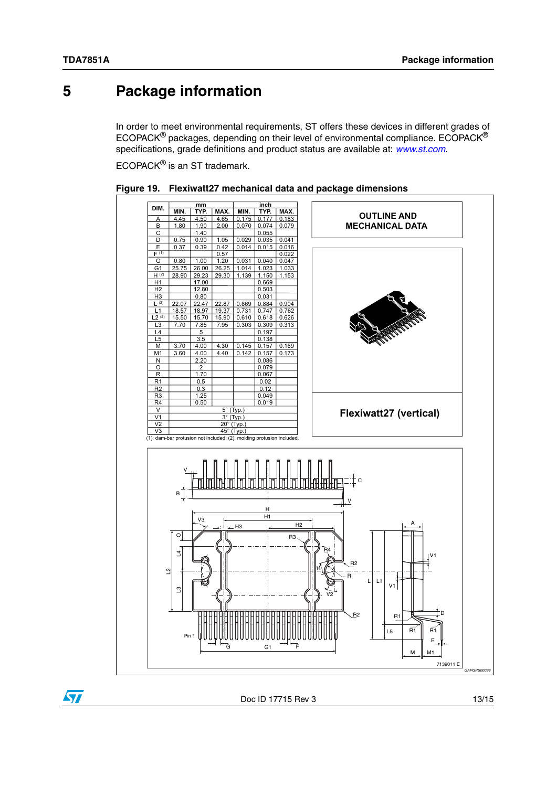$\sqrt{}$ 

# <span id="page-12-0"></span>**5 Package information**

In order to meet environmental requirements, ST offers these devices in different grades of ECOPACK® packages, depending on their level of environmental compliance. ECOPACK® specifications, grade definitions and product status are available at: *[www.st.com](http://www.st.com)*.

ECOPACK® is an ST trademark.



<span id="page-12-1"></span>

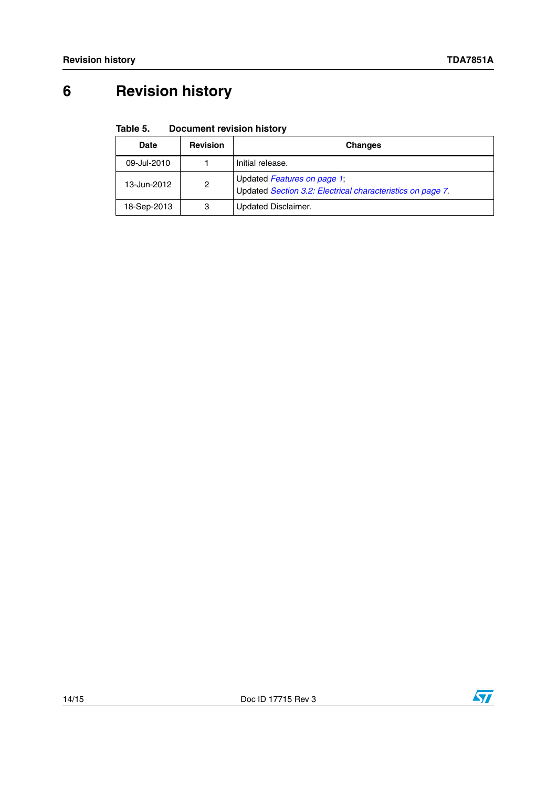# <span id="page-13-0"></span>**6 Revision history**

#### <span id="page-13-1"></span>Table 5. **Document revision history**

| Date        | <b>Revision</b> | <b>Changes</b>                                                                            |
|-------------|-----------------|-------------------------------------------------------------------------------------------|
| 09-Jul-2010 |                 | Initial release.                                                                          |
| 13-Jun-2012 | 2               | Updated Features on page 1;<br>Updated Section 3.2: Electrical characteristics on page 7. |
| 18-Sep-2013 | 3               | Updated Disclaimer.                                                                       |